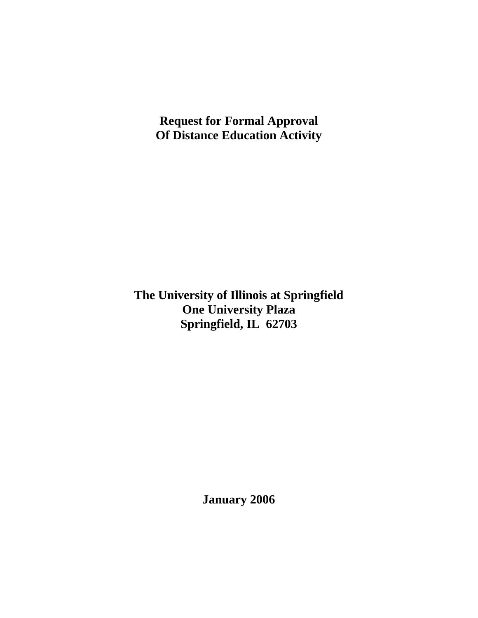**Request for Formal Approval Of Distance Education Activity** 

**The University of Illinois at Springfield One University Plaza Springfield, IL 62703** 

**January 2006**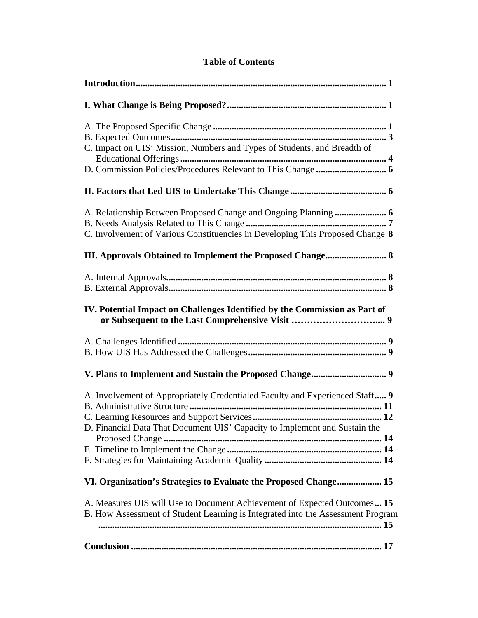|  |  |  | <b>Table of Contents</b> |
|--|--|--|--------------------------|
|--|--|--|--------------------------|

| C. Impact on UIS' Mission, Numbers and Types of Students, and Breadth of                                                                                    |
|-------------------------------------------------------------------------------------------------------------------------------------------------------------|
|                                                                                                                                                             |
| C. Involvement of Various Constituencies in Developing This Proposed Change 8                                                                               |
|                                                                                                                                                             |
|                                                                                                                                                             |
| IV. Potential Impact on Challenges Identified by the Commission as Part of                                                                                  |
|                                                                                                                                                             |
|                                                                                                                                                             |
| A. Involvement of Appropriately Credentialed Faculty and Experienced Staff 9<br>D. Financial Data That Document UIS' Capacity to Implement and Sustain the  |
| VI. Organization's Strategies to Evaluate the Proposed Change 15                                                                                            |
| A. Measures UIS will Use to Document Achievement of Expected Outcomes 15<br>B. How Assessment of Student Learning is Integrated into the Assessment Program |
|                                                                                                                                                             |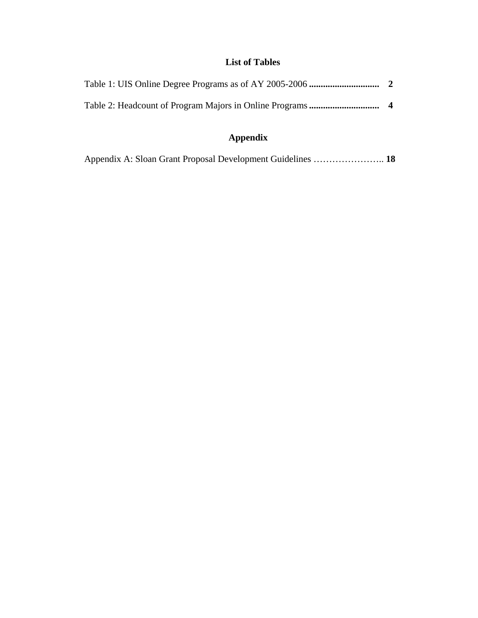# **List of Tables**

# **Appendix**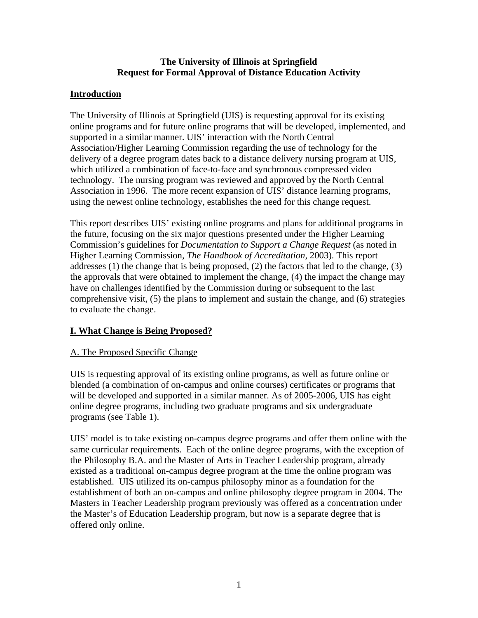### **The University of Illinois at Springfield Request for Formal Approval of Distance Education Activity**

## <span id="page-3-0"></span>**Introduction**

The University of Illinois at Springfield (UIS) is requesting approval for its existing online programs and for future online programs that will be developed, implemented, and supported in a similar manner. UIS' interaction with the North Central Association/Higher Learning Commission regarding the use of technology for the delivery of a degree program dates back to a distance delivery nursing program at UIS, which utilized a combination of face-to-face and synchronous compressed video technology. The nursing program was reviewed and approved by the North Central Association in 1996. The more recent expansion of UIS' distance learning programs, using the newest online technology, establishes the need for this change request.

This report describes UIS' existing online programs and plans for additional programs in the future, focusing on the six major questions presented under the Higher Learning Commission's guidelines for *Documentation to Support a Change Request* (as noted in Higher Learning Commission*, The Handbook of Accreditation*, 2003). This report addresses (1) the change that is being proposed, (2) the factors that led to the change, (3) the approvals that were obtained to implement the change, (4) the impact the change may have on challenges identified by the Commission during or subsequent to the last comprehensive visit, (5) the plans to implement and sustain the change, and (6) strategies to evaluate the change.

## **I. What Change is Being Proposed?**

## A. The Proposed Specific Change

UIS is requesting approval of its existing online programs, as well as future online or blended (a combination of on-campus and online courses) certificates or programs that will be developed and supported in a similar manner. As of 2005-2006, UIS has eight online degree programs, including two graduate programs and six undergraduate programs (see Table 1).

UIS' model is to take existing on-campus degree programs and offer them online with the same curricular requirements. Each of the online degree programs, with the exception of the Philosophy B.A. and the Master of Arts in Teacher Leadership program, already existed as a traditional on-campus degree program at the time the online program was established. UIS utilized its on-campus philosophy minor as a foundation for the establishment of both an on-campus and online philosophy degree program in 2004. The Masters in Teacher Leadership program previously was offered as a concentration under the Master's of Education Leadership program, but now is a separate degree that is offered only online.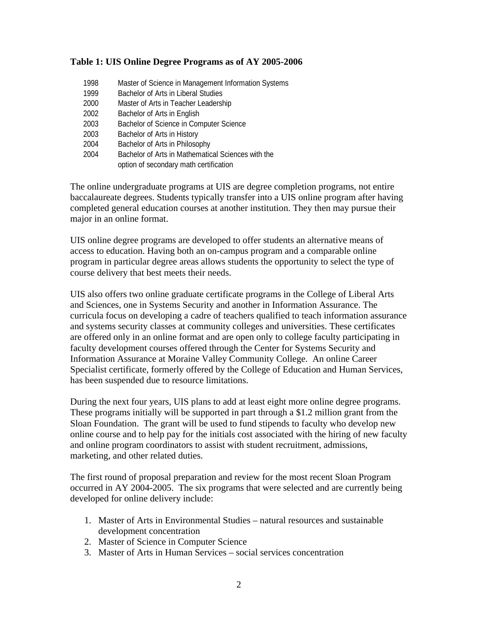### <span id="page-4-0"></span>**Table 1: UIS Online Degree Programs as of AY 2005-2006**

| 1998 | Master of Science in Management Information Systems |
|------|-----------------------------------------------------|
| 1999 | Bachelor of Arts in Liberal Studies                 |
| 2000 | Master of Arts in Teacher Leadership                |
| 2002 | Bachelor of Arts in English                         |
| 2003 | Bachelor of Science in Computer Science             |
| 2003 | Bachelor of Arts in History                         |
| 2004 | Bachelor of Arts in Philosophy                      |
| 2004 | Bachelor of Arts in Mathematical Sciences with the  |
|      | option of secondary math certification              |

The online undergraduate programs at UIS are degree completion programs, not entire baccalaureate degrees. Students typically transfer into a UIS online program after having completed general education courses at another institution. They then may pursue their major in an online format.

UIS online degree programs are developed to offer students an alternative means of access to education. Having both an on-campus program and a comparable online program in particular degree areas allows students the opportunity to select the type of course delivery that best meets their needs.

UIS also offers two online graduate certificate programs in the College of Liberal Arts and Sciences, one in Systems Security and another in Information Assurance. The curricula focus on developing a cadre of teachers qualified to teach information assurance and systems security classes at community colleges and universities. These certificates are offered only in an online format and are open only to college faculty participating in faculty development courses offered through the Center for Systems Security and Information Assurance at Moraine Valley Community College. An online Career Specialist certificate, formerly offered by the College of Education and Human Services, has been suspended due to resource limitations.

During the next four years, UIS plans to add at least eight more online degree programs. These programs initially will be supported in part through a \$1.2 million grant from the Sloan Foundation. The grant will be used to fund stipends to faculty who develop new online course and to help pay for the initials cost associated with the hiring of new faculty and online program coordinators to assist with student recruitment, admissions, marketing, and other related duties.

The first round of proposal preparation and review for the most recent Sloan Program occurred in AY 2004-2005. The six programs that were selected and are currently being developed for online delivery include:

- 1. Master of Arts in Environmental Studies natural resources and sustainable development concentration
- 2. Master of Science in Computer Science
- 3. Master of Arts in Human Services social services concentration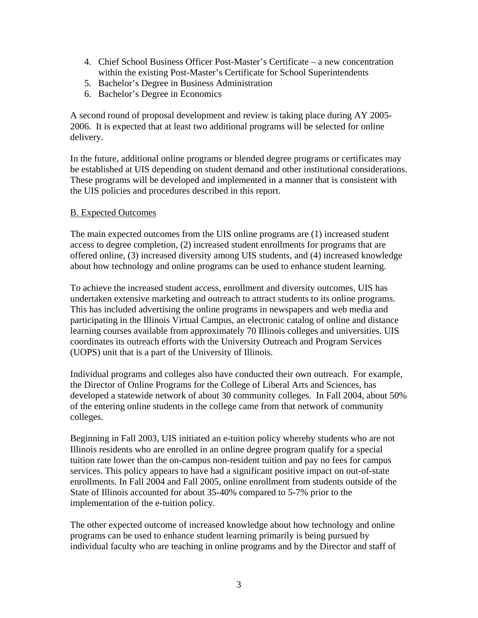- <span id="page-5-0"></span>4. Chief School Business Officer Post-Master's Certificate – a new concentration within the existing Post-Master's Certificate for School Superintendents
- 5. Bachelor's Degree in Business Administration
- 6. Bachelor's Degree in Economics

A second round of proposal development and review is taking place during AY 2005- 2006. It is expected that at least two additional programs will be selected for online delivery.

In the future, additional online programs or blended degree programs or certificates may be established at UIS depending on student demand and other institutional considerations. These programs will be developed and implemented in a manner that is consistent with the UIS policies and procedures described in this report.

### B. Expected Outcomes

The main expected outcomes from the UIS online programs are (1) increased student access to degree completion, (2) increased student enrollments for programs that are offered online, (3) increased diversity among UIS students, and (4) increased knowledge about how technology and online programs can be used to enhance student learning.

To achieve the increased student access, enrollment and diversity outcomes, UIS has undertaken extensive marketing and outreach to attract students to its online programs. This has included advertising the online programs in newspapers and web media and participating in the Illinois Virtual Campus, an electronic catalog of online and distance learning courses available from approximately 70 Illinois colleges and universities. UIS coordinates its outreach efforts with the University Outreach and Program Services (UOPS) unit that is a part of the University of Illinois.

Individual programs and colleges also have conducted their own outreach. For example, the Director of Online Programs for the College of Liberal Arts and Sciences, has developed a statewide network of about 30 community colleges. In Fall 2004, about 50% of the entering online students in the college came from that network of community colleges.

Beginning in Fall 2003, UIS initiated an e-tuition policy whereby students who are not Illinois residents who are enrolled in an online degree program qualify for a special tuition rate lower than the on-campus non-resident tuition and pay no fees for campus services. This policy appears to have had a significant positive impact on out-of-state enrollments. In Fall 2004 and Fall 2005, online enrollment from students outside of the State of Illinois accounted for about 35-40% compared to 5-7% prior to the implementation of the e-tuition policy.

The other expected outcome of increased knowledge about how technology and online programs can be used to enhance student learning primarily is being pursued by individual faculty who are teaching in online programs and by the Director and staff of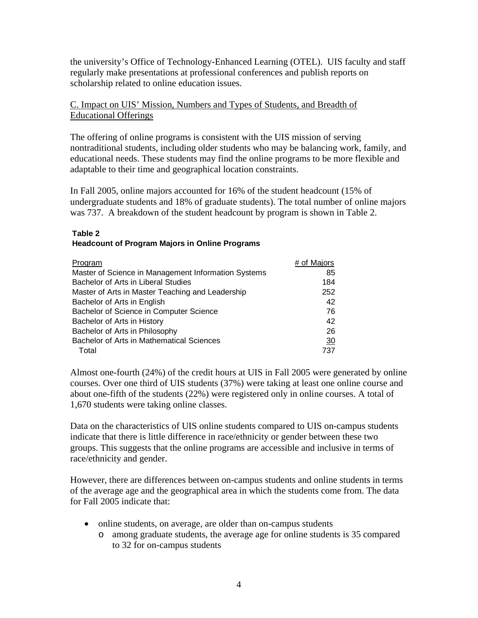<span id="page-6-0"></span>the university's Office of Technology-Enhanced Learning (OTEL). UIS faculty and staff regularly make presentations at professional conferences and publish reports on scholarship related to online education issues.

## C. Impact on UIS' Mission, Numbers and Types of Students, and Breadth of Educational Offerings

The offering of online programs is consistent with the UIS mission of serving nontraditional students, including older students who may be balancing work, family, and educational needs. These students may find the online programs to be more flexible and adaptable to their time and geographical location constraints.

In Fall 2005, online majors accounted for 16% of the student headcount (15% of undergraduate students and 18% of graduate students). The total number of online majors was 737. A breakdown of the student headcount by program is shown in Table 2.

#### **Table 2 Headcount of Program Majors in Online Programs**

| <b>Program</b>                                      | $# of$ Majors   |
|-----------------------------------------------------|-----------------|
| Master of Science in Management Information Systems | 85              |
| Bachelor of Arts in Liberal Studies                 | 184             |
| Master of Arts in Master Teaching and Leadership    | 252             |
| Bachelor of Arts in English                         | 42              |
| Bachelor of Science in Computer Science             | 76              |
| Bachelor of Arts in History                         | 42              |
| Bachelor of Arts in Philosophy                      | 26              |
| Bachelor of Arts in Mathematical Sciences           | $\overline{30}$ |
| Total                                               | 737             |

Almost one-fourth (24%) of the credit hours at UIS in Fall 2005 were generated by online courses. Over one third of UIS students (37%) were taking at least one online course and about one-fifth of the students (22%) were registered only in online courses. A total of 1,670 students were taking online classes.

Data on the characteristics of UIS online students compared to UIS on-campus students indicate that there is little difference in race/ethnicity or gender between these two groups. This suggests that the online programs are accessible and inclusive in terms of race/ethnicity and gender.

However, there are differences between on-campus students and online students in terms of the average age and the geographical area in which the students come from. The data for Fall 2005 indicate that:

- online students, on average, are older than on-campus students
	- o among graduate students, the average age for online students is 35 compared to 32 for on-campus students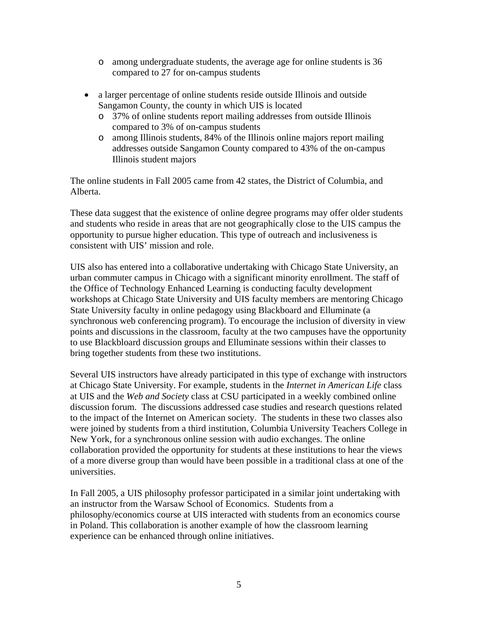- o among undergraduate students, the average age for online students is 36 compared to 27 for on-campus students
- a larger percentage of online students reside outside Illinois and outside Sangamon County, the county in which UIS is located
	- o 37% of online students report mailing addresses from outside Illinois compared to 3% of on-campus students
	- o among Illinois students, 84% of the Illinois online majors report mailing addresses outside Sangamon County compared to 43% of the on-campus Illinois student majors

The online students in Fall 2005 came from 42 states, the District of Columbia, and Alberta.

These data suggest that the existence of online degree programs may offer older students and students who reside in areas that are not geographically close to the UIS campus the opportunity to pursue higher education. This type of outreach and inclusiveness is consistent with UIS' mission and role.

UIS also has entered into a collaborative undertaking with Chicago State University, an urban commuter campus in Chicago with a significant minority enrollment. The staff of the Office of Technology Enhanced Learning is conducting faculty development workshops at Chicago State University and UIS faculty members are mentoring Chicago State University faculty in online pedagogy using Blackboard and Elluminate (a synchronous web conferencing program). To encourage the inclusion of diversity in view points and discussions in the classroom, faculty at the two campuses have the opportunity to use Blackbloard discussion groups and Elluminate sessions within their classes to bring together students from these two institutions.

Several UIS instructors have already participated in this type of exchange with instructors at Chicago State University. For example, students in the *Internet in American Life* class at UIS and the *Web and Society* class at CSU participated in a weekly combined online discussion forum. The discussions addressed case studies and research questions related to the impact of the Internet on American society. The students in these two classes also were joined by students from a third institution, Columbia University Teachers College in New York, for a synchronous online session with audio exchanges. The online collaboration provided the opportunity for students at these institutions to hear the views of a more diverse group than would have been possible in a traditional class at one of the universities.

In Fall 2005, a UIS philosophy professor participated in a similar joint undertaking with an instructor from the Warsaw School of Economics. Students from a philosophy/economics course at UIS interacted with students from an economics course in Poland. This collaboration is another example of how the classroom learning experience can be enhanced through online initiatives.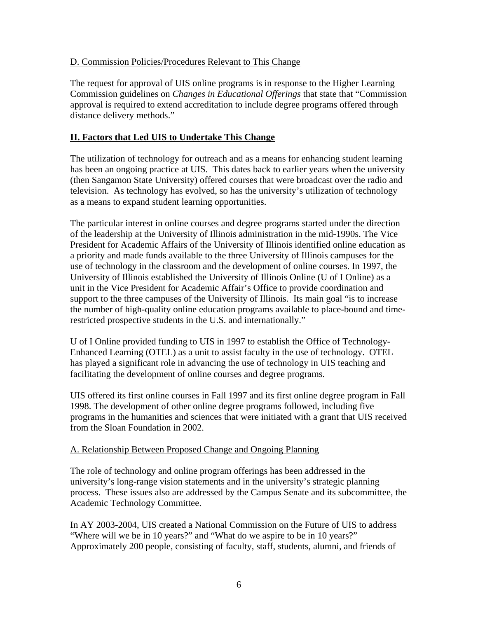### <span id="page-8-0"></span>D. Commission Policies/Procedures Relevant to This Change

The request for approval of UIS online programs is in response to the Higher Learning Commission guidelines on *Changes in Educational Offerings* that state that "Commission approval is required to extend accreditation to include degree programs offered through distance delivery methods."

### **II. Factors that Led UIS to Undertake This Change**

The utilization of technology for outreach and as a means for enhancing student learning has been an ongoing practice at UIS. This dates back to earlier years when the university (then Sangamon State University) offered courses that were broadcast over the radio and television. As technology has evolved, so has the university's utilization of technology as a means to expand student learning opportunities.

The particular interest in online courses and degree programs started under the direction of the leadership at the University of Illinois administration in the mid-1990s. The Vice President for Academic Affairs of the University of Illinois identified online education as a priority and made funds available to the three University of Illinois campuses for the use of technology in the classroom and the development of online courses. In 1997, the University of Illinois established the University of Illinois Online (U of I Online) as a unit in the Vice President for Academic Affair's Office to provide coordination and support to the three campuses of the University of Illinois. Its main goal "is to increase the number of high-quality online education programs available to place-bound and timerestricted prospective students in the U.S. and internationally."

U of I Online provided funding to UIS in 1997 to establish the Office of Technology-Enhanced Learning (OTEL) as a unit to assist faculty in the use of technology. OTEL has played a significant role in advancing the use of technology in UIS teaching and facilitating the development of online courses and degree programs.

UIS offered its first online courses in Fall 1997 and its first online degree program in Fall 1998. The development of other online degree programs followed, including five programs in the humanities and sciences that were initiated with a grant that UIS received from the Sloan Foundation in 2002.

### A. Relationship Between Proposed Change and Ongoing Planning

The role of technology and online program offerings has been addressed in the university's long-range vision statements and in the university's strategic planning process. These issues also are addressed by the Campus Senate and its subcommittee, the Academic Technology Committee.

In AY 2003-2004, UIS created a National Commission on the Future of UIS to address "Where will we be in 10 years?" and "What do we aspire to be in 10 years?" Approximately 200 people, consisting of faculty, staff, students, alumni, and friends of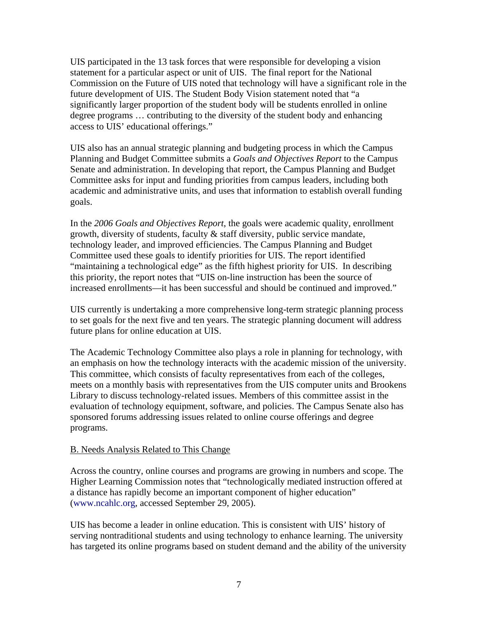<span id="page-9-0"></span>UIS participated in the 13 task forces that were responsible for developing a vision statement for a particular aspect or unit of UIS. The final report for the National Commission on the Future of UIS noted that technology will have a significant role in the future development of UIS. The Student Body Vision statement noted that "a significantly larger proportion of the student body will be students enrolled in online degree programs … contributing to the diversity of the student body and enhancing access to UIS' educational offerings."

UIS also has an annual strategic planning and budgeting process in which the Campus Planning and Budget Committee submits a *Goals and Objectives Report* to the Campus Senate and administration. In developing that report, the Campus Planning and Budget Committee asks for input and funding priorities from campus leaders, including both academic and administrative units, and uses that information to establish overall funding goals.

In the *2006 Goals and Objectives Report*, the goals were academic quality, enrollment growth, diversity of students, faculty  $\&$  staff diversity, public service mandate, technology leader, and improved efficiencies. The Campus Planning and Budget Committee used these goals to identify priorities for UIS. The report identified "maintaining a technological edge" as the fifth highest priority for UIS. In describing this priority, the report notes that "UIS on-line instruction has been the source of increased enrollments—it has been successful and should be continued and improved."

UIS currently is undertaking a more comprehensive long-term strategic planning process to set goals for the next five and ten years. The strategic planning document will address future plans for online education at UIS.

The Academic Technology Committee also plays a role in planning for technology, with an emphasis on how the technology interacts with the academic mission of the university. This committee, which consists of faculty representatives from each of the colleges, meets on a monthly basis with representatives from the UIS computer units and Brookens Library to discuss technology-related issues. Members of this committee assist in the evaluation of technology equipment, software, and policies. The Campus Senate also has sponsored forums addressing issues related to online course offerings and degree programs.

### B. Needs Analysis Related to This Change

Across the country, online courses and programs are growing in numbers and scope. The Higher Learning Commission notes that "technologically mediated instruction offered at a distance has rapidly become an important component of higher education" ([www.ncahlc.org](http://www.ncahlc.org/), accessed September 29, 2005).

UIS has become a leader in online education. This is consistent with UIS' history of serving nontraditional students and using technology to enhance learning. The university has targeted its online programs based on student demand and the ability of the university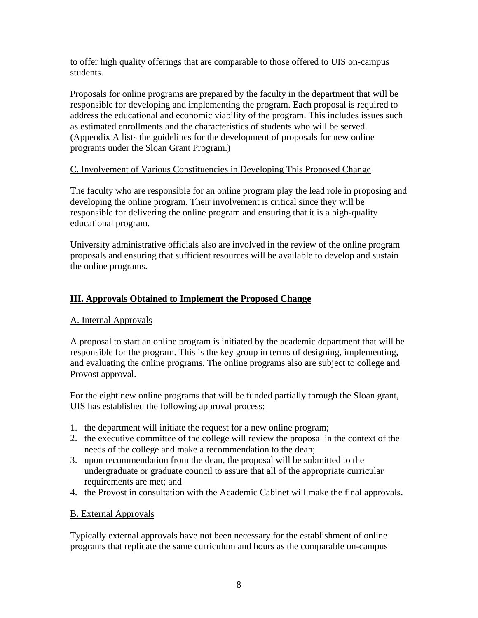<span id="page-10-0"></span>to offer high quality offerings that are comparable to those offered to UIS on-campus students.

Proposals for online programs are prepared by the faculty in the department that will be responsible for developing and implementing the program. Each proposal is required to address the educational and economic viability of the program. This includes issues such as estimated enrollments and the characteristics of students who will be served. (Appendix A lists the guidelines for the development of proposals for new online programs under the Sloan Grant Program.)

## C. Involvement of Various Constituencies in Developing This Proposed Change

The faculty who are responsible for an online program play the lead role in proposing and developing the online program. Their involvement is critical since they will be responsible for delivering the online program and ensuring that it is a high-quality educational program.

University administrative officials also are involved in the review of the online program proposals and ensuring that sufficient resources will be available to develop and sustain the online programs.

## **III. Approvals Obtained to Implement the Proposed Change**

## A. Internal Approvals

A proposal to start an online program is initiated by the academic department that will be responsible for the program. This is the key group in terms of designing, implementing, and evaluating the online programs. The online programs also are subject to college and Provost approval.

For the eight new online programs that will be funded partially through the Sloan grant, UIS has established the following approval process:

- 1. the department will initiate the request for a new online program;
- 2. the executive committee of the college will review the proposal in the context of the needs of the college and make a recommendation to the dean;
- 3. upon recommendation from the dean, the proposal will be submitted to the undergraduate or graduate council to assure that all of the appropriate curricular requirements are met; and
- 4. the Provost in consultation with the Academic Cabinet will make the final approvals.

## B. External Approvals

Typically external approvals have not been necessary for the establishment of online programs that replicate the same curriculum and hours as the comparable on-campus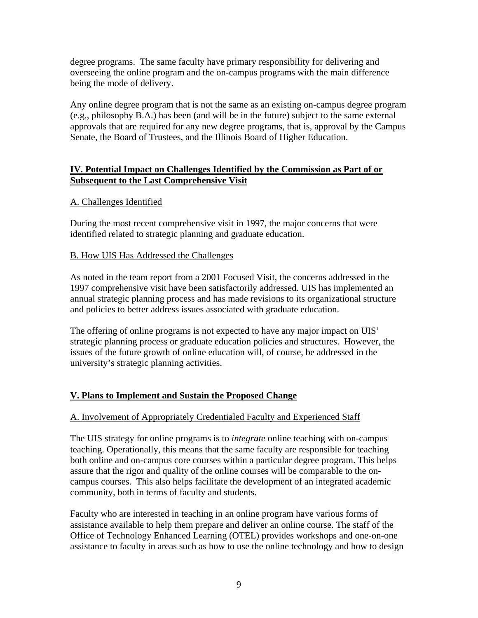<span id="page-11-0"></span>degree programs. The same faculty have primary responsibility for delivering and overseeing the online program and the on-campus programs with the main difference being the mode of delivery.

Any online degree program that is not the same as an existing on-campus degree program (e.g., philosophy B.A.) has been (and will be in the future) subject to the same external approvals that are required for any new degree programs, that is, approval by the Campus Senate, the Board of Trustees, and the Illinois Board of Higher Education.

### **IV. Potential Impact on Challenges Identified by the Commission as Part of or Subsequent to the Last Comprehensive Visit**

## A. Challenges Identified

During the most recent comprehensive visit in 1997, the major concerns that were identified related to strategic planning and graduate education.

## B. How UIS Has Addressed the Challenges

As noted in the team report from a 2001 Focused Visit, the concerns addressed in the 1997 comprehensive visit have been satisfactorily addressed. UIS has implemented an annual strategic planning process and has made revisions to its organizational structure and policies to better address issues associated with graduate education.

The offering of online programs is not expected to have any major impact on UIS' strategic planning process or graduate education policies and structures. However, the issues of the future growth of online education will, of course, be addressed in the university's strategic planning activities.

## **V. Plans to Implement and Sustain the Proposed Change**

## A. Involvement of Appropriately Credentialed Faculty and Experienced Staff

The UIS strategy for online programs is to *integrate* online teaching with on-campus teaching. Operationally, this means that the same faculty are responsible for teaching both online and on-campus core courses within a particular degree program. This helps assure that the rigor and quality of the online courses will be comparable to the oncampus courses. This also helps facilitate the development of an integrated academic community, both in terms of faculty and students.

Faculty who are interested in teaching in an online program have various forms of assistance available to help them prepare and deliver an online course. The staff of the Office of Technology Enhanced Learning (OTEL) provides workshops and one-on-one assistance to faculty in areas such as how to use the online technology and how to design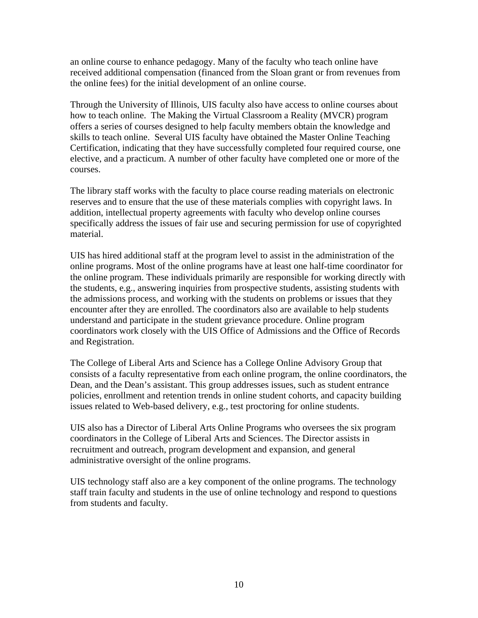an online course to enhance pedagogy. Many of the faculty who teach online have received additional compensation (financed from the Sloan grant or from revenues from the online fees) for the initial development of an online course.

Through the University of Illinois, UIS faculty also have access to online courses about how to teach online. The Making the Virtual Classroom a Reality (MVCR) program offers a series of courses designed to help faculty members obtain the knowledge and skills to teach online. Several UIS faculty have obtained the Master Online Teaching Certification, indicating that they have successfully completed four required course, one elective, and a practicum. A number of other faculty have completed one or more of the courses.

The library staff works with the faculty to place course reading materials on electronic reserves and to ensure that the use of these materials complies with copyright laws. In addition, intellectual property agreements with faculty who develop online courses specifically address the issues of fair use and securing permission for use of copyrighted material.

UIS has hired additional staff at the program level to assist in the administration of the online programs. Most of the online programs have at least one half-time coordinator for the online program. These individuals primarily are responsible for working directly with the students, e.g., answering inquiries from prospective students, assisting students with the admissions process, and working with the students on problems or issues that they encounter after they are enrolled. The coordinators also are available to help students understand and participate in the student grievance procedure. Online program coordinators work closely with the UIS Office of Admissions and the Office of Records and Registration.

The College of Liberal Arts and Science has a College Online Advisory Group that consists of a faculty representative from each online program, the online coordinators, the Dean, and the Dean's assistant. This group addresses issues, such as student entrance policies, enrollment and retention trends in online student cohorts, and capacity building issues related to Web-based delivery, e.g., test proctoring for online students.

UIS also has a Director of Liberal Arts Online Programs who oversees the six program coordinators in the College of Liberal Arts and Sciences. The Director assists in recruitment and outreach, program development and expansion, and general administrative oversight of the online programs.

UIS technology staff also are a key component of the online programs. The technology staff train faculty and students in the use of online technology and respond to questions from students and faculty.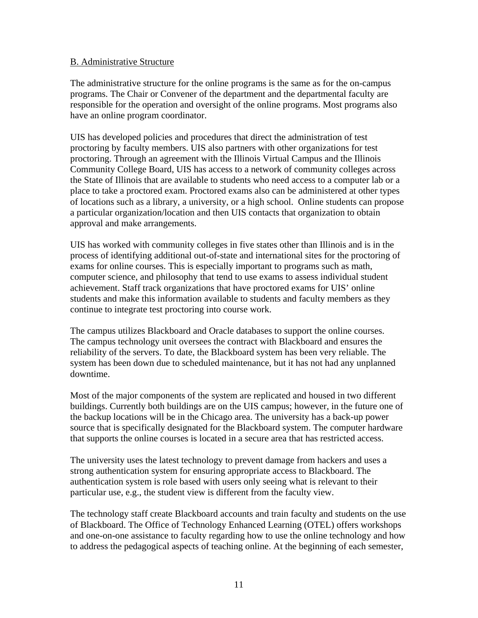### <span id="page-13-0"></span>B. Administrative Structure

The administrative structure for the online programs is the same as for the on-campus programs. The Chair or Convener of the department and the departmental faculty are responsible for the operation and oversight of the online programs. Most programs also have an online program coordinator.

UIS has developed policies and procedures that direct the administration of test proctoring by faculty members. UIS also partners with other organizations for test proctoring. Through an agreement with the Illinois Virtual Campus and the Illinois Community College Board, UIS has access to a network of community colleges across the State of Illinois that are available to students who need access to a computer lab or a place to take a proctored exam. Proctored exams also can be administered at other types of locations such as a library, a university, or a high school. Online students can propose a particular organization/location and then UIS contacts that organization to obtain approval and make arrangements.

UIS has worked with community colleges in five states other than Illinois and is in the process of identifying additional out-of-state and international sites for the proctoring of exams for online courses. This is especially important to programs such as math, computer science, and philosophy that tend to use exams to assess individual student achievement. Staff track organizations that have proctored exams for UIS' online students and make this information available to students and faculty members as they continue to integrate test proctoring into course work.

The campus utilizes Blackboard and Oracle databases to support the online courses. The campus technology unit oversees the contract with Blackboard and ensures the reliability of the servers. To date, the Blackboard system has been very reliable. The system has been down due to scheduled maintenance, but it has not had any unplanned downtime.

Most of the major components of the system are replicated and housed in two different buildings. Currently both buildings are on the UIS campus; however, in the future one of the backup locations will be in the Chicago area. The university has a back-up power source that is specifically designated for the Blackboard system. The computer hardware that supports the online courses is located in a secure area that has restricted access.

The university uses the latest technology to prevent damage from hackers and uses a strong authentication system for ensuring appropriate access to Blackboard. The authentication system is role based with users only seeing what is relevant to their particular use, e.g., the student view is different from the faculty view.

The technology staff create Blackboard accounts and train faculty and students on the use of Blackboard. The Office of Technology Enhanced Learning (OTEL) offers workshops and one-on-one assistance to faculty regarding how to use the online technology and how to address the pedagogical aspects of teaching online. At the beginning of each semester,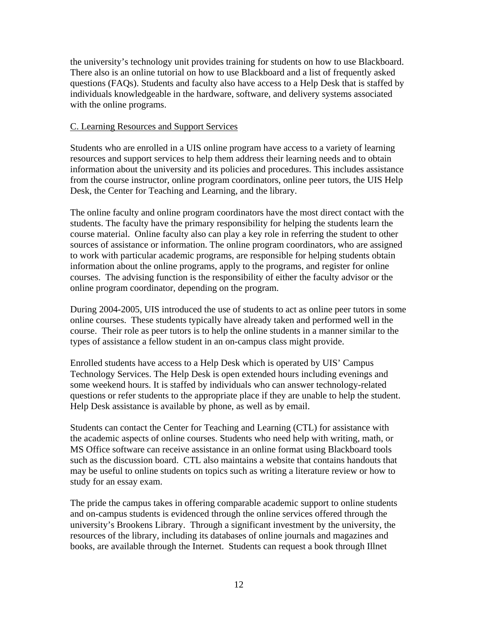<span id="page-14-0"></span>the university's technology unit provides training for students on how to use Blackboard. There also is an online tutorial on how to use Blackboard and a list of frequently asked questions (FAQs). Students and faculty also have access to a Help Desk that is staffed by individuals knowledgeable in the hardware, software, and delivery systems associated with the online programs.

### C. Learning Resources and Support Services

Students who are enrolled in a UIS online program have access to a variety of learning resources and support services to help them address their learning needs and to obtain information about the university and its policies and procedures. This includes assistance from the course instructor, online program coordinators, online peer tutors, the UIS Help Desk, the Center for Teaching and Learning, and the library.

The online faculty and online program coordinators have the most direct contact with the students. The faculty have the primary responsibility for helping the students learn the course material. Online faculty also can play a key role in referring the student to other sources of assistance or information. The online program coordinators, who are assigned to work with particular academic programs, are responsible for helping students obtain information about the online programs, apply to the programs, and register for online courses. The advising function is the responsibility of either the faculty advisor or the online program coordinator, depending on the program.

During 2004-2005, UIS introduced the use of students to act as online peer tutors in some online courses. These students typically have already taken and performed well in the course. Their role as peer tutors is to help the online students in a manner similar to the types of assistance a fellow student in an on-campus class might provide.

Enrolled students have access to a Help Desk which is operated by UIS' Campus Technology Services. The Help Desk is open extended hours including evenings and some weekend hours. It is staffed by individuals who can answer technology-related questions or refer students to the appropriate place if they are unable to help the student. Help Desk assistance is available by phone, as well as by email.

Students can contact the Center for Teaching and Learning (CTL) for assistance with the academic aspects of online courses. Students who need help with writing, math, or MS Office software can receive assistance in an online format using Blackboard tools such as the discussion board. CTL also maintains a website that contains handouts that may be useful to online students on topics such as writing a literature review or how to study for an essay exam.

The pride the campus takes in offering comparable academic support to online students and on-campus students is evidenced through the online services offered through the university's Brookens Library. Through a significant investment by the university, the resources of the library, including its databases of online journals and magazines and books, are available through the Internet. Students can request a book through Illnet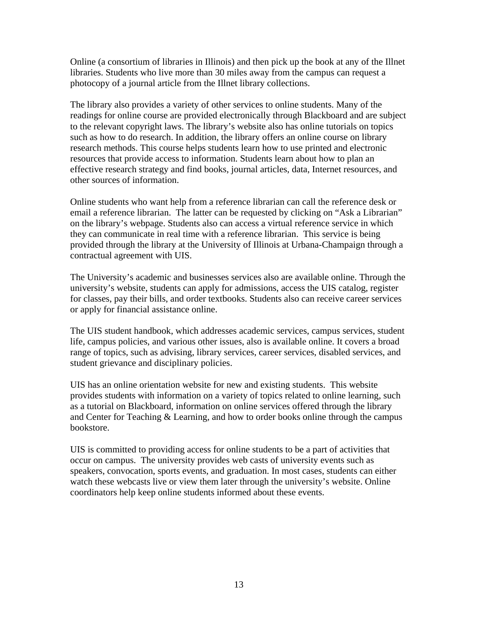Online (a consortium of libraries in Illinois) and then pick up the book at any of the Illnet libraries. Students who live more than 30 miles away from the campus can request a photocopy of a journal article from the Illnet library collections.

The library also provides a variety of other services to online students. Many of the readings for online course are provided electronically through Blackboard and are subject to the relevant copyright laws. The library's website also has online tutorials on topics such as how to do research. In addition, the library offers an online course on library research methods. This course helps students learn how to use printed and electronic resources that provide access to information. Students learn about how to plan an effective research strategy and find books, journal articles, data, Internet resources, and other sources of information.

Online students who want help from a reference librarian can call the reference desk or email a reference librarian. The latter can be requested by clicking on "Ask a Librarian" on the library's webpage. Students also can access a virtual reference service in which they can communicate in real time with a reference librarian. This service is being provided through the library at the University of Illinois at Urbana-Champaign through a contractual agreement with UIS.

The University's academic and businesses services also are available online. Through the university's website, students can apply for admissions, access the UIS catalog, register for classes, pay their bills, and order textbooks. Students also can receive career services or apply for financial assistance online.

The UIS student handbook, which addresses academic services, campus services, student life, campus policies, and various other issues, also is available online. It covers a broad range of topics, such as advising, library services, career services, disabled services, and student grievance and disciplinary policies.

UIS has an online orientation website for new and existing students. This website provides students with information on a variety of topics related to online learning, such as a tutorial on Blackboard, information on online services offered through the library and Center for Teaching & Learning, and how to order books online through the campus bookstore.

UIS is committed to providing access for online students to be a part of activities that occur on campus. The university provides web casts of university events such as speakers, convocation, sports events, and graduation. In most cases, students can either watch these webcasts live or view them later through the university's website. Online coordinators help keep online students informed about these events.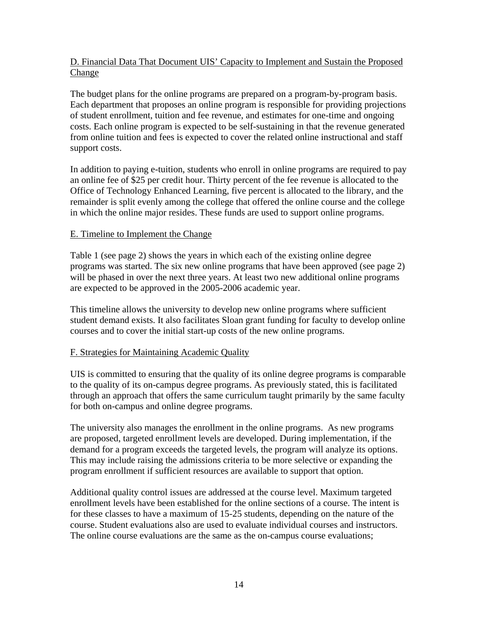## <span id="page-16-0"></span>D. Financial Data That Document UIS' Capacity to Implement and Sustain the Proposed Change

The budget plans for the online programs are prepared on a program-by-program basis. Each department that proposes an online program is responsible for providing projections of student enrollment, tuition and fee revenue, and estimates for one-time and ongoing costs. Each online program is expected to be self-sustaining in that the revenue generated from online tuition and fees is expected to cover the related online instructional and staff support costs.

In addition to paying e-tuition, students who enroll in online programs are required to pay an online fee of \$25 per credit hour. Thirty percent of the fee revenue is allocated to the Office of Technology Enhanced Learning, five percent is allocated to the library, and the remainder is split evenly among the college that offered the online course and the college in which the online major resides. These funds are used to support online programs.

## E. Timeline to Implement the Change

Table 1 (see page 2) shows the years in which each of the existing online degree programs was started. The six new online programs that have been approved (see page 2) will be phased in over the next three years. At least two new additional online programs are expected to be approved in the 2005-2006 academic year.

This timeline allows the university to develop new online programs where sufficient student demand exists. It also facilitates Sloan grant funding for faculty to develop online courses and to cover the initial start-up costs of the new online programs.

### F. Strategies for Maintaining Academic Quality

UIS is committed to ensuring that the quality of its online degree programs is comparable to the quality of its on-campus degree programs. As previously stated, this is facilitated through an approach that offers the same curriculum taught primarily by the same faculty for both on-campus and online degree programs.

The university also manages the enrollment in the online programs. As new programs are proposed, targeted enrollment levels are developed. During implementation, if the demand for a program exceeds the targeted levels, the program will analyze its options. This may include raising the admissions criteria to be more selective or expanding the program enrollment if sufficient resources are available to support that option.

Additional quality control issues are addressed at the course level. Maximum targeted enrollment levels have been established for the online sections of a course. The intent is for these classes to have a maximum of 15-25 students, depending on the nature of the course. Student evaluations also are used to evaluate individual courses and instructors. The online course evaluations are the same as the on-campus course evaluations;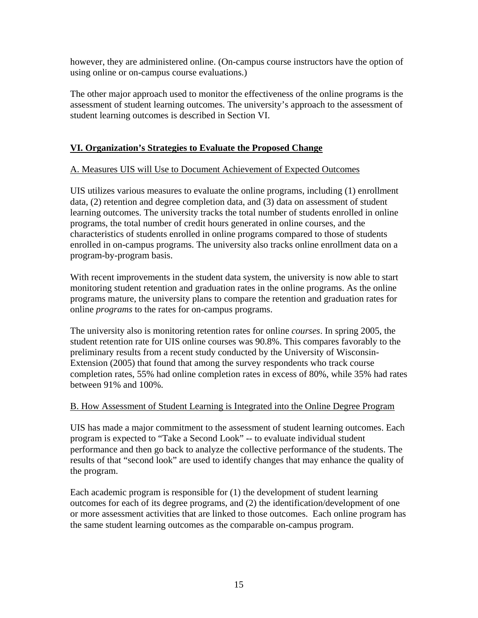<span id="page-17-0"></span>however, they are administered online. (On-campus course instructors have the option of using online or on-campus course evaluations.)

The other major approach used to monitor the effectiveness of the online programs is the assessment of student learning outcomes. The university's approach to the assessment of student learning outcomes is described in Section VI.

## **VI. Organization's Strategies to Evaluate the Proposed Change**

### A. Measures UIS will Use to Document Achievement of Expected Outcomes

UIS utilizes various measures to evaluate the online programs, including (1) enrollment data, (2) retention and degree completion data, and (3) data on assessment of student learning outcomes. The university tracks the total number of students enrolled in online programs, the total number of credit hours generated in online courses, and the characteristics of students enrolled in online programs compared to those of students enrolled in on-campus programs. The university also tracks online enrollment data on a program-by-program basis.

With recent improvements in the student data system, the university is now able to start monitoring student retention and graduation rates in the online programs. As the online programs mature, the university plans to compare the retention and graduation rates for online *programs* to the rates for on-campus programs.

The university also is monitoring retention rates for online *courses*. In spring 2005, the student retention rate for UIS online courses was 90.8%. This compares favorably to the preliminary results from a recent study conducted by the University of Wisconsin-Extension (2005) that found that among the survey respondents who track course completion rates, 55% had online completion rates in excess of 80%, while 35% had rates between 91% and 100%.

### B. How Assessment of Student Learning is Integrated into the Online Degree Program

UIS has made a major commitment to the assessment of student learning outcomes. Each program is expected to "Take a Second Look" -- to evaluate individual student performance and then go back to analyze the collective performance of the students. The results of that "second look" are used to identify changes that may enhance the quality of the program.

Each academic program is responsible for (1) the development of student learning outcomes for each of its degree programs, and (2) the identification/development of one or more assessment activities that are linked to those outcomes. Each online program has the same student learning outcomes as the comparable on-campus program.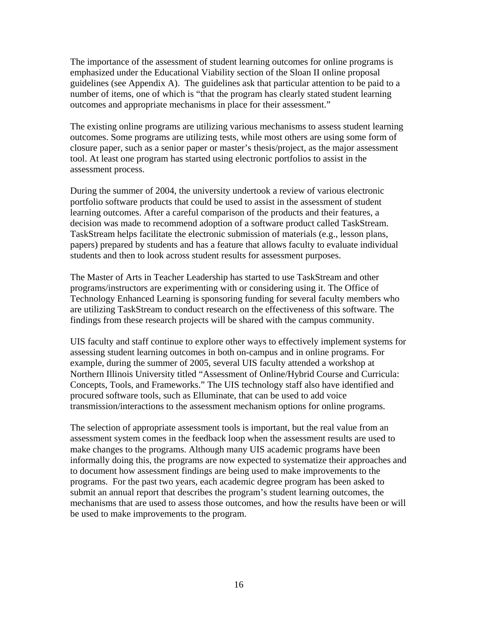The importance of the assessment of student learning outcomes for online programs is emphasized under the Educational Viability section of the Sloan II online proposal guidelines (see Appendix A). The guidelines ask that particular attention to be paid to a number of items, one of which is "that the program has clearly stated student learning outcomes and appropriate mechanisms in place for their assessment."

The existing online programs are utilizing various mechanisms to assess student learning outcomes. Some programs are utilizing tests, while most others are using some form of closure paper, such as a senior paper or master's thesis/project, as the major assessment tool. At least one program has started using electronic portfolios to assist in the assessment process.

During the summer of 2004, the university undertook a review of various electronic portfolio software products that could be used to assist in the assessment of student learning outcomes. After a careful comparison of the products and their features, a decision was made to recommend adoption of a software product called TaskStream. TaskStream helps facilitate the electronic submission of materials (e.g., lesson plans, papers) prepared by students and has a feature that allows faculty to evaluate individual students and then to look across student results for assessment purposes.

The Master of Arts in Teacher Leadership has started to use TaskStream and other programs/instructors are experimenting with or considering using it. The Office of Technology Enhanced Learning is sponsoring funding for several faculty members who are utilizing TaskStream to conduct research on the effectiveness of this software. The findings from these research projects will be shared with the campus community.

UIS faculty and staff continue to explore other ways to effectively implement systems for assessing student learning outcomes in both on-campus and in online programs. For example, during the summer of 2005, several UIS faculty attended a workshop at Northern Illinois University titled "Assessment of Online/Hybrid Course and Curricula: Concepts, Tools, and Frameworks." The UIS technology staff also have identified and procured software tools, such as Elluminate, that can be used to add voice transmission/interactions to the assessment mechanism options for online programs.

The selection of appropriate assessment tools is important, but the real value from an assessment system comes in the feedback loop when the assessment results are used to make changes to the programs. Although many UIS academic programs have been informally doing this, the programs are now expected to systematize their approaches and to document how assessment findings are being used to make improvements to the programs. For the past two years, each academic degree program has been asked to submit an annual report that describes the program's student learning outcomes, the mechanisms that are used to assess those outcomes, and how the results have been or will be used to make improvements to the program.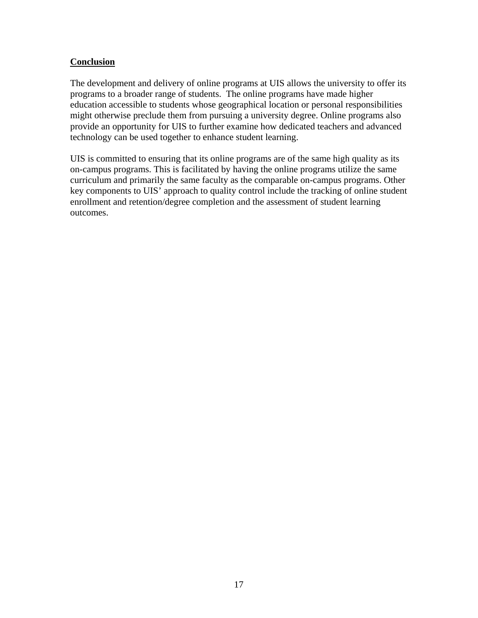## <span id="page-19-0"></span>**Conclusion**

The development and delivery of online programs at UIS allows the university to offer its programs to a broader range of students. The online programs have made higher education accessible to students whose geographical location or personal responsibilities might otherwise preclude them from pursuing a university degree. Online programs also provide an opportunity for UIS to further examine how dedicated teachers and advanced technology can be used together to enhance student learning.

UIS is committed to ensuring that its online programs are of the same high quality as its on-campus programs. This is facilitated by having the online programs utilize the same curriculum and primarily the same faculty as the comparable on-campus programs. Other key components to UIS' approach to quality control include the tracking of online student enrollment and retention/degree completion and the assessment of student learning outcomes.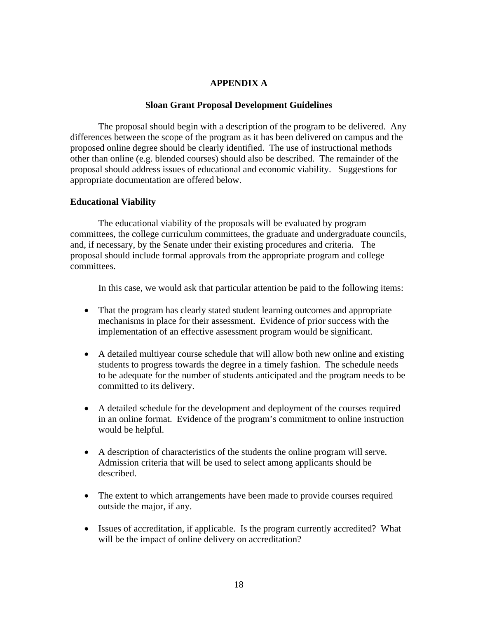### **APPENDIX A**

#### **Sloan Grant Proposal Development Guidelines**

The proposal should begin with a description of the program to be delivered. Any differences between the scope of the program as it has been delivered on campus and the proposed online degree should be clearly identified. The use of instructional methods other than online (e.g. blended courses) should also be described. The remainder of the proposal should address issues of educational and economic viability. Suggestions for appropriate documentation are offered below.

#### **Educational Viability**

 The educational viability of the proposals will be evaluated by program committees, the college curriculum committees, the graduate and undergraduate councils, and, if necessary, by the Senate under their existing procedures and criteria. The proposal should include formal approvals from the appropriate program and college committees.

In this case, we would ask that particular attention be paid to the following items:

- That the program has clearly stated student learning outcomes and appropriate mechanisms in place for their assessment. Evidence of prior success with the implementation of an effective assessment program would be significant.
- A detailed multiyear course schedule that will allow both new online and existing students to progress towards the degree in a timely fashion. The schedule needs to be adequate for the number of students anticipated and the program needs to be committed to its delivery.
- A detailed schedule for the development and deployment of the courses required in an online format. Evidence of the program's commitment to online instruction would be helpful.
- A description of characteristics of the students the online program will serve. Admission criteria that will be used to select among applicants should be described.
- The extent to which arrangements have been made to provide courses required outside the major, if any.
- Issues of accreditation, if applicable. Is the program currently accredited? What will be the impact of online delivery on accreditation?